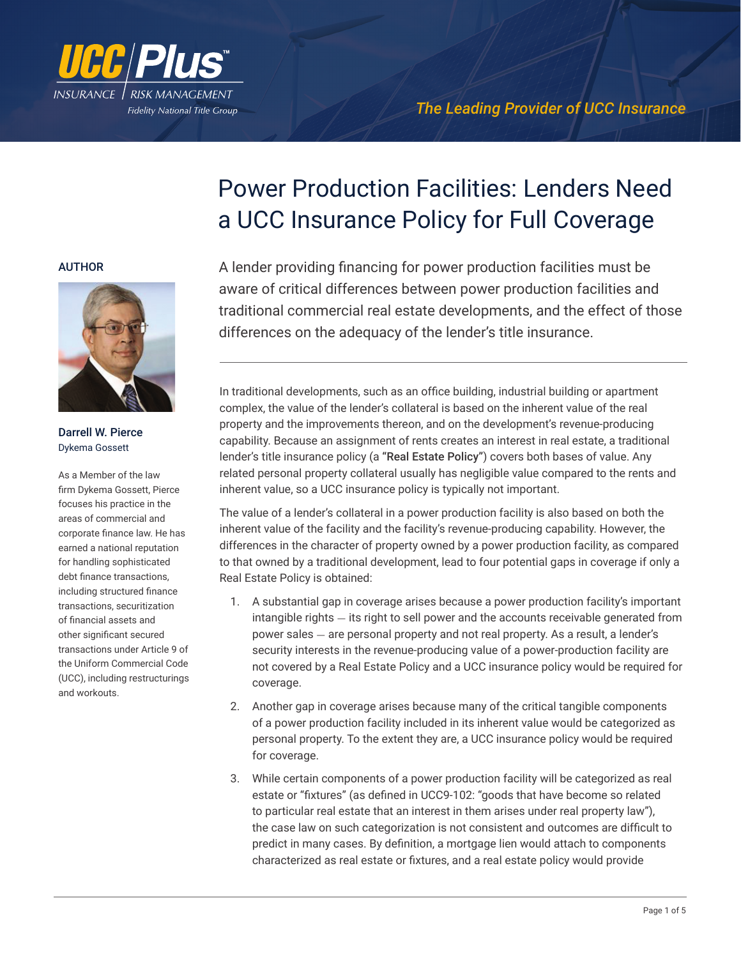

# Power Production Facilities: Lenders Need a UCC Insurance Policy for Full Coverage

## AUTHOR



Darrell W. Pierce Dykema Gossett

As a Member of the law firm Dykema Gossett, Pierce focuses his practice in the areas of commercial and corporate finance law. He has earned a national reputation for handling sophisticated debt finance transactions, including structured finance transactions, securitization of financial assets and other significant secured transactions under Article 9 of the Uniform Commercial Code (UCC), including restructurings and workouts.

A lender providing financing for power production facilities must be aware of critical differences between power production facilities and traditional commercial real estate developments, and the effect of those differences on the adequacy of the lender's title insurance.

In traditional developments, such as an office building, industrial building or apartment complex, the value of the lender's collateral is based on the inherent value of the real property and the improvements thereon, and on the development's revenue-producing capability. Because an assignment of rents creates an interest in real estate, a traditional lender's title insurance policy (a "Real Estate Policy") covers both bases of value. Any related personal property collateral usually has negligible value compared to the rents and inherent value, so a UCC insurance policy is typically not important.

The value of a lender's collateral in a power production facility is also based on both the inherent value of the facility and the facility's revenue-producing capability. However, the differences in the character of property owned by a power production facility, as compared to that owned by a traditional development, lead to four potential gaps in coverage if only a Real Estate Policy is obtained:

- 1. A substantial gap in coverage arises because a power production facility's important intangible rights - its right to sell power and the accounts receivable generated from power sales - are personal property and not real property. As a result, a lender's security interests in the revenue-producing value of a power-production facility are not covered by a Real Estate Policy and a UCC insurance policy would be required for coverage.
- 2. Another gap in coverage arises because many of the critical tangible components of a power production facility included in its inherent value would be categorized as personal property. To the extent they are, a UCC insurance policy would be required for coverage.
- 3. While certain components of a power production facility will be categorized as real estate or "fixtures" (as defined in UCC9-102: "goods that have become so related to particular real estate that an interest in them arises under real property law"), the case law on such categorization is not consistent and outcomes are difficult to predict in many cases. By definition, a mortgage lien would attach to components characterized as real estate or fixtures, and a real estate policy would provide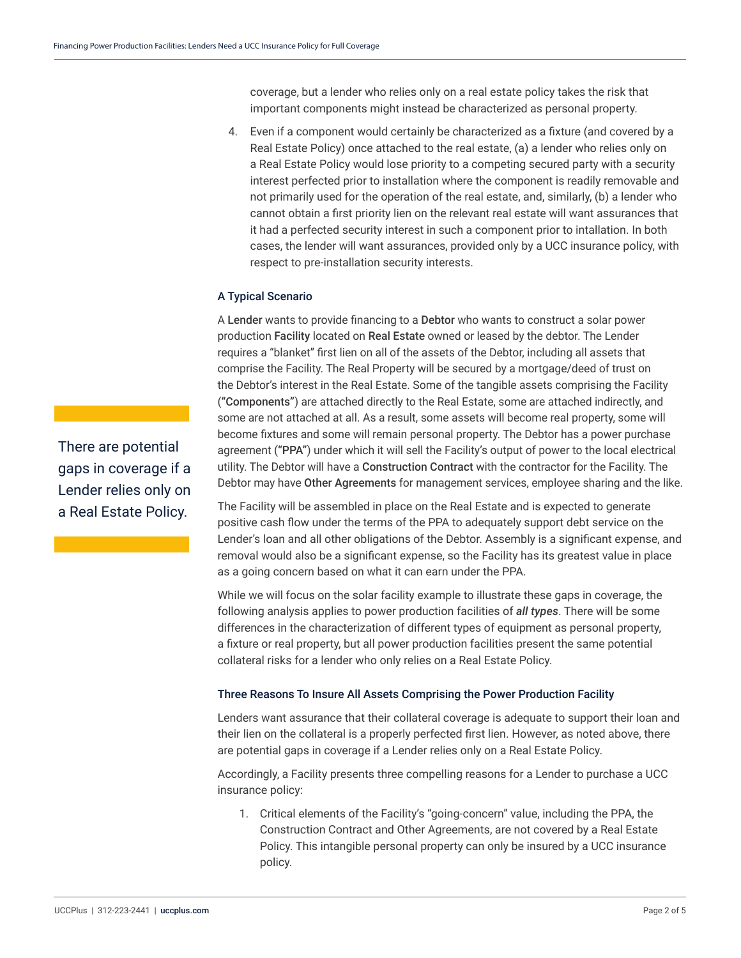coverage, but a lender who relies only on a real estate policy takes the risk that important components might instead be characterized as personal property.

4. Even if a component would certainly be characterized as a fixture (and covered by a Real Estate Policy) once attached to the real estate, (a) a lender who relies only on a Real Estate Policy would lose priority to a competing secured party with a security interest perfected prior to installation where the component is readily removable and not primarily used for the operation of the real estate, and, similarly, (b) a lender who cannot obtain a first priority lien on the relevant real estate will want assurances that it had a perfected security interest in such a component prior to intallation. In both cases, the lender will want assurances, provided only by a UCC insurance policy, with respect to pre-installation security interests.

## A Typical Scenario

A Lender wants to provide financing to a Debtor who wants to construct a solar power production Facility located on Real Estate owned or leased by the debtor. The Lender requires a "blanket" first lien on all of the assets of the Debtor, including all assets that comprise the Facility. The Real Property will be secured by a mortgage/deed of trust on the Debtor's interest in the Real Estate. Some of the tangible assets comprising the Facility ("Components") are attached directly to the Real Estate, some are attached indirectly, and some are not attached at all. As a result, some assets will become real property, some will become fixtures and some will remain personal property. The Debtor has a power purchase agreement ("PPA") under which it will sell the Facility's output of power to the local electrical utility. The Debtor will have a Construction Contract with the contractor for the Facility. The Debtor may have Other Agreements for management services, employee sharing and the like.

The Facility will be assembled in place on the Real Estate and is expected to generate positive cash flow under the terms of the PPA to adequately support debt service on the Lender's loan and all other obligations of the Debtor. Assembly is a significant expense, and removal would also be a significant expense, so the Facility has its greatest value in place as a going concern based on what it can earn under the PPA.

While we will focus on the solar facility example to illustrate these gaps in coverage, the following analysis applies to power production facilities of *all types*. There will be some differences in the characterization of different types of equipment as personal property, a fixture or real property, but all power production facilities present the same potential collateral risks for a lender who only relies on a Real Estate Policy.

#### Three Reasons To Insure All Assets Comprising the Power Production Facility

Lenders want assurance that their collateral coverage is adequate to support their loan and their lien on the collateral is a properly perfected first lien. However, as noted above, there are potential gaps in coverage if a Lender relies only on a Real Estate Policy.

Accordingly, a Facility presents three compelling reasons for a Lender to purchase a UCC insurance policy:

1. Critical elements of the Facility's "going-concern" value, including the PPA, the Construction Contract and Other Agreements, are not covered by a Real Estate Policy. This intangible personal property can only be insured by a UCC insurance policy.

There are potential gaps in coverage if a Lender relies only on a Real Estate Policy.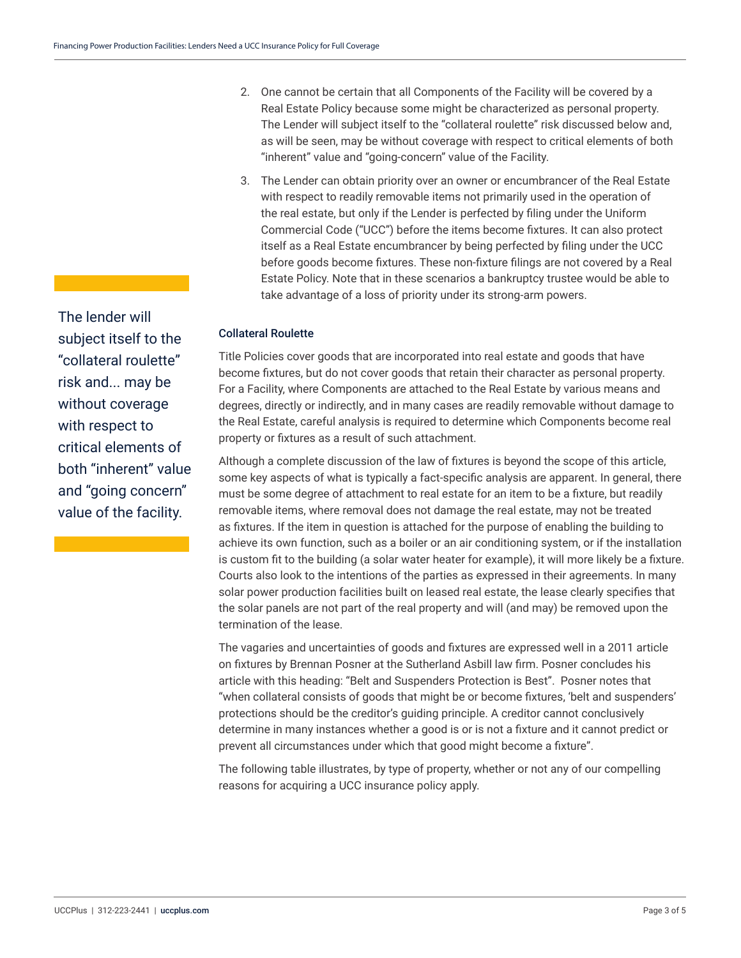The lender will subject itself to the "collateral roulette" risk and... may be without coverage with respect to critical elements of both "inherent" value and "going concern" value of the facility.

- 2. One cannot be certain that all Components of the Facility will be covered by a Real Estate Policy because some might be characterized as personal property. The Lender will subject itself to the "collateral roulette" risk discussed below and, as will be seen, may be without coverage with respect to critical elements of both "inherent" value and "going-concern" value of the Facility.
- 3. The Lender can obtain priority over an owner or encumbrancer of the Real Estate with respect to readily removable items not primarily used in the operation of the real estate, but only if the Lender is perfected by filing under the Uniform Commercial Code ("UCC") before the items become fixtures. It can also protect itself as a Real Estate encumbrancer by being perfected by filing under the UCC before goods become fixtures. These non-fixture filings are not covered by a Real Estate Policy. Note that in these scenarios a bankruptcy trustee would be able to take advantage of a loss of priority under its strong-arm powers.

## Collateral Roulette

Title Policies cover goods that are incorporated into real estate and goods that have become fixtures, but do not cover goods that retain their character as personal property. For a Facility, where Components are attached to the Real Estate by various means and degrees, directly or indirectly, and in many cases are readily removable without damage to the Real Estate, careful analysis is required to determine which Components become real property or fixtures as a result of such attachment.

Although a complete discussion of the law of fixtures is beyond the scope of this article, some key aspects of what is typically a fact-specific analysis are apparent. In general, there must be some degree of attachment to real estate for an item to be a fixture, but readily removable items, where removal does not damage the real estate, may not be treated as fixtures. If the item in question is attached for the purpose of enabling the building to achieve its own function, such as a boiler or an air conditioning system, or if the installation is custom fit to the building (a solar water heater for example), it will more likely be a fixture. Courts also look to the intentions of the parties as expressed in their agreements. In many solar power production facilities built on leased real estate, the lease clearly specifies that the solar panels are not part of the real property and will (and may) be removed upon the termination of the lease.

The vagaries and uncertainties of goods and fixtures are expressed well in a 2011 article on fixtures by Brennan Posner at the Sutherland Asbill law firm. Posner concludes his article with this heading: "Belt and Suspenders Protection is Best". Posner notes that "when collateral consists of goods that might be or become fixtures, 'belt and suspenders' protections should be the creditor's guiding principle. A creditor cannot conclusively determine in many instances whether a good is or is not a fixture and it cannot predict or prevent all circumstances under which that good might become a fixture".

The following table illustrates, by type of property, whether or not any of our compelling reasons for acquiring a UCC insurance policy apply.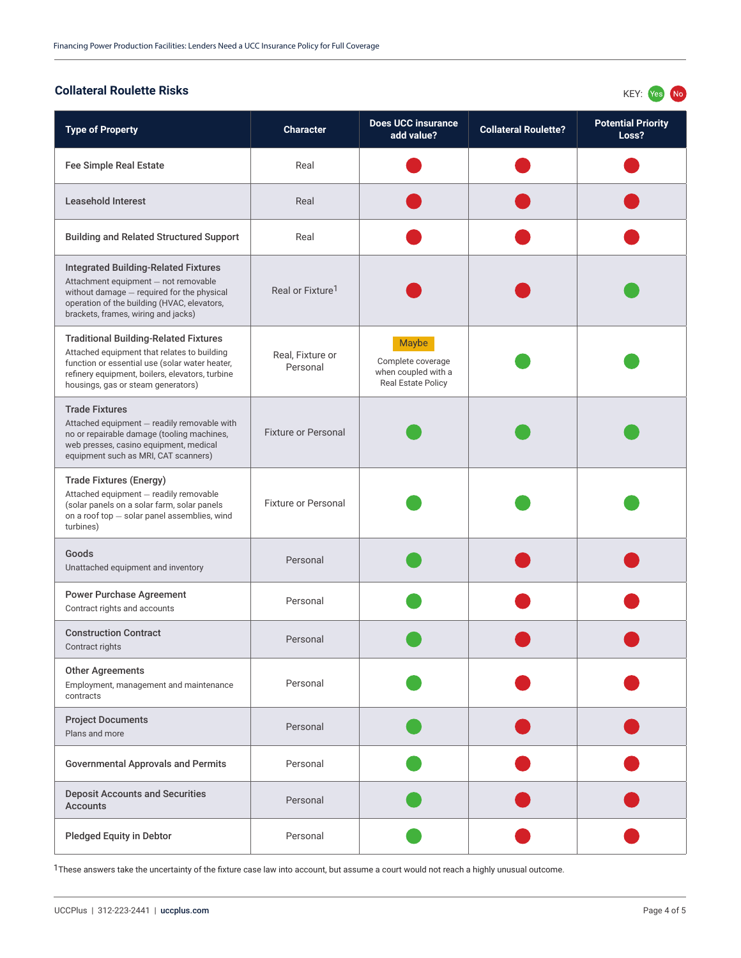# **Collateral Roulette Risks** KEY: The Second Second Second Second Second Second Second Second Second Second Second Second Second Second Second Second Second Second Second Second Second Second Second Second Second Second Sec

| <b>Type of Property</b>                                                                                                                                                                                                                | <b>Character</b>             | <b>Does UCC insurance</b><br>add value?                                        | <b>Collateral Roulette?</b> | <b>Potential Priority</b><br>Loss? |
|----------------------------------------------------------------------------------------------------------------------------------------------------------------------------------------------------------------------------------------|------------------------------|--------------------------------------------------------------------------------|-----------------------------|------------------------------------|
| <b>Fee Simple Real Estate</b>                                                                                                                                                                                                          | Real                         |                                                                                |                             |                                    |
| <b>Leasehold Interest</b>                                                                                                                                                                                                              | Real                         |                                                                                |                             |                                    |
| <b>Building and Related Structured Support</b>                                                                                                                                                                                         | Real                         |                                                                                |                             |                                    |
| <b>Integrated Building-Related Fixtures</b><br>Attachment equipment - not removable<br>without damage - required for the physical<br>operation of the building (HVAC, elevators,<br>brackets, frames, wiring and jacks)                | Real or Fixture <sup>1</sup> |                                                                                |                             |                                    |
| <b>Traditional Building-Related Fixtures</b><br>Attached equipment that relates to building<br>function or essential use (solar water heater,<br>refinery equipment, boilers, elevators, turbine<br>housings, gas or steam generators) | Real, Fixture or<br>Personal | Maybe<br>Complete coverage<br>when coupled with a<br><b>Real Estate Policy</b> |                             |                                    |
| <b>Trade Fixtures</b><br>Attached equipment - readily removable with<br>no or repairable damage (tooling machines,<br>web presses, casino equipment, medical<br>equipment such as MRI, CAT scanners)                                   | <b>Fixture or Personal</b>   |                                                                                |                             |                                    |
| <b>Trade Fixtures (Energy)</b><br>Attached equipment - readily removable<br>(solar panels on a solar farm, solar panels<br>on a roof top - solar panel assemblies, wind<br>turbines)                                                   | <b>Fixture or Personal</b>   |                                                                                |                             |                                    |
| Goods<br>Unattached equipment and inventory                                                                                                                                                                                            | Personal                     |                                                                                |                             |                                    |
| <b>Power Purchase Agreement</b><br>Contract rights and accounts                                                                                                                                                                        | Personal                     |                                                                                |                             |                                    |
| <b>Construction Contract</b><br>Contract rights                                                                                                                                                                                        | Personal                     |                                                                                |                             |                                    |
| <b>Other Agreements</b><br>Employment, management and maintenance<br>contracts                                                                                                                                                         | Personal                     |                                                                                |                             |                                    |
| <b>Project Documents</b><br>Plans and more                                                                                                                                                                                             | Personal                     |                                                                                |                             |                                    |
| <b>Governmental Approvals and Permits</b>                                                                                                                                                                                              | Personal                     |                                                                                |                             |                                    |
| <b>Deposit Accounts and Securities</b><br><b>Accounts</b>                                                                                                                                                                              | Personal                     |                                                                                |                             |                                    |
| <b>Pledged Equity in Debtor</b>                                                                                                                                                                                                        | Personal                     |                                                                                |                             |                                    |

<sup>1</sup>These answers take the uncertainty of the fixture case law into account, but assume a court would not reach a highly unusual outcome.